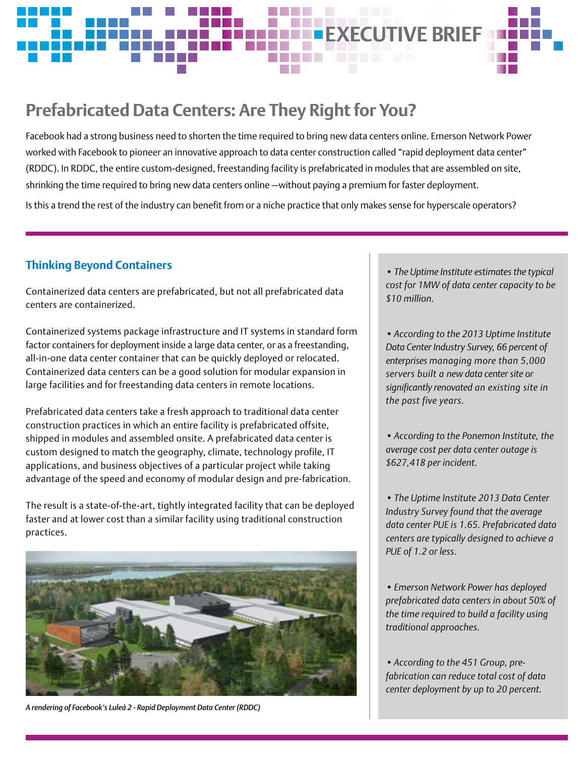

# **Prefabricated Data Centers: Are They Right for You?**

Facebook had a strong business need to shorten the time required to bring new data centers online. Emerson Network Power worked with Facebook to pioneer an innovative approach to data center construction called "rapid deployment data center" (RDDC). In RDDC, the entire custom-designed, freestanding facility is prefabricated in modules that are assembled on site, shrinking the time required to bring new data centers online —without paying a premium for faster deployment. Is this a trend the rest of the industry can benefit from or a niche practice that only makes sense for hyperscale operators?

# **Thinking Beyond Containers**

Containerized data centers are prefabricated, but not all prefabricated data centers are containerized.

Containerized systems package infrastructure and IT systems in standard form factor containers for deployment inside a large data center, or as a freestanding, all-in-one data center container that can be quickly deployed or relocated. Containerized data centers can be a good solution for modular expansion in large facilities and for freestanding data centers in remote locations.

Prefabricated data centers take a fresh approach to traditional data center construction practices in which an entire facility is prefabricated offsite, shipped in modules and assembled onsite. A prefabricated data center is custom designed to match the geography, climate, technology profile, IT applications, and business objectives of a particular project while taking advantage of the speed and economy of modular design and pre-fabrication.

The result is a state-of-the-art, tightly integrated facility that can be deployed faster and at lower cost than a similar facility using traditional construction practices.



*A rendering of Facebook's Luleå 2 - Rapid Deployment Data Center (RDDC)*

*• The Uptime Institute estimates the typical cost for 1MW of data center capacity to be \$10 million.*

*• According to the 2013 Uptime Institute Data Center Industry Survey, 66 percent of enterprises managing more than 5,000 servers built a new data center site or significantly renovated an existing site in the past five years.* 

*• According to the Ponemon Institute, the average cost per data center outage is \$627,418 per incident.*

*• The Uptime Institute 2013 Data Center Industry Survey found that the average data center PUE is 1.65. Prefabricated data centers are typically designed to achieve a PUE of 1.2 or less.*

*• Emerson Network Power has deployed prefabricated data centers in about 50% of the time required to build a facility using traditional approaches.*

*• According to the 451 Group, prefabrication can reduce total cost of data center deployment by up to 20 percent.*